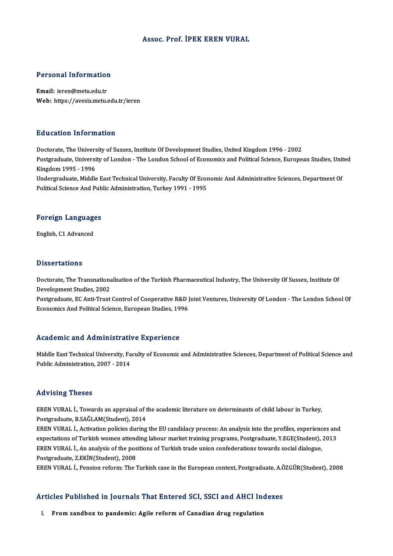### Assoc. Prof. İPEK EREN VURAL

# Personal Information

Personal Information<br>Email: ieren@metu.edu.tr<br>Web: https://avesis.mstv Email: ieren@metu.edu.tr<br>Web: https://avesis.metu.edu.tr/ieren

### Education Information

Doctorate, The University of Sussex, Institute Of Development Studies, United Kingdom 1996 - 2002 Postgraduate, University of London - The London School of Economics and Political Science, European Studies, United Kingdom1995 -1996 Postgraduate, University of London - The London School of Economics and Political Science, European Studies, Unit<br>Kingdom 1995 - 1996<br>Undergraduate, Middle East Technical University, Faculty Of Economic And Administrative Kingdom 1995 - 1996<br>Undergraduate, Middle East Technical University, Faculty Of Ecor<br>Political Science And Public Administration, Turkey 1991 - 1995

## ronucal science And Pub<br>Foreign Languages F<mark>oreign Languag</mark>e<br>English, C1 Advanced

English, C1 Advanced<br>Dissertations

**Dissertations**<br>Doctorate, The Transnationalisation of the Turkish Pharmaceutical Industry, The University Of Sussex, Institute Of<br>Development Studies, 2002 Disposite<br>Doctorate, The Transnationa<br>Development Studies, 2002<br>Postsraduate, EC Anti Trust Doctorate, The Transnationalisation of the Turkish Pharmaceutical Industry, The University Of Sussex, Institute Of<br>Development Studies, 2002<br>Postgraduate, EC Anti-Trust Control of Cooperative R&D Joint Ventures, University

Development Studies, 2002<br>Postgraduate, EC Anti-Trust Control of Cooperative R&D J<br>Economics And Political Science, European Studies, 1996

# Economics And Political Science, European Studies, 1996<br>Academic and Administrative Experience

Academic and Administrative Experience<br>Middle East Technical University, Faculty of Economic and Administrative Sciences, Department of Political Science and<br>Publis Administration 2007, 2014 Middle East Technical University, Fa<br>Public Administration, 2007 - 2014 Public Administration, 2007 - 2014<br>Advising Theses

Advising Theses<br>EREN VURAL İ., Towards an appraisal of the academic literature on determinants of child labour in Turkey,<br>Postsraduata P SAČLAM(Student), 2014 POSTAGRADUATE<br>Postgraduate, B.SAĞLAM(Student), 2014<br>Postgraduate, B.SAĞLAM(Student), 2014 EREN VURAL İ., Towards an appraisal of the academic literature on determinants of child labour in Turkey,<br>Postgraduate, B.SAĞLAM(Student), 2014<br>EREN VURAL İ., Activation policies during the EU candidacy process: An analysi

Postgraduate, B.SAĞLAM(Student), 2014<br>EREN VURAL İ., Activation policies during the EU candidacy process: An analysis into the profiles, experiences and<br>expectations of Turkish women attending labour market training progra EREN VURAL İ., Activation policies during the EU candidacy process: An analysis into the profiles, experiencexpectations of Turkish women attending labour market training programs, Postgraduate, Y.EGE(Student), EREN VURAL expectations of Turkish women attending labour market training programs, Postgraduate, Y.EGE(Student), 2013<br>EREN VURAL İ., An analysis of the positions of Turkish trade union confederations towards social dialogue,<br>Postgra

EREN VURAL İ., Pension reform: The Turkish case in the European context, Postgraduate, A.ÖZGÜR(Student), 2008

## EREN VURAL I., Pension reform: The Turkish case in the European context, Postgraduate, A.C<br>Articles Published in Journals That Entered SCI, SSCI and AHCI Indexes rticles Published in Journals That Entered SCI, SSCI and AHCI In<br>I. From sandbox to pandemic: Agile reform of Canadian drug regulation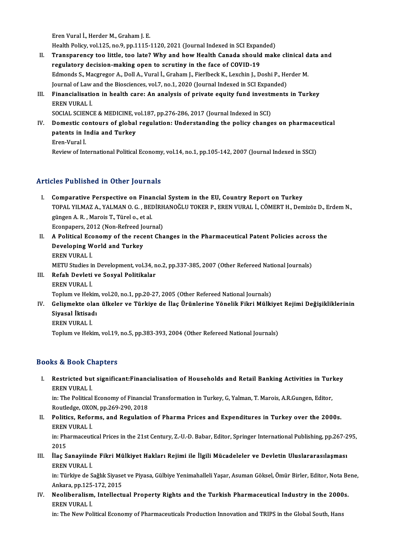Eren Vural İ., Herder M., Graham J. E.

Eren Vural İ., Herder M., Graham J. E.<br>Health Policy, vol.125, no.9, pp.1115-1120, 2021 (Journal Indexed in SCI Expanded)<br>Transpanancy too little, too late? Why and how Health Canada should mak

- II. Transparency too little, too late? Why and how Health Canada should make clinical data and regulatory decision-making open to scrutiny in the face of COVID-19 Health Policy, vol.125, no.9, pp.1115-1120, 2021 (Journal Indexed in SCI Expandenced in SCI Expandenced in SCI<br>Transparency too little, too late? Why and how Health Canada should<br>regulatory decision-making open to scrutiny Transparency too little, too late? Why and how Health Canada should make clinical d<br>regulatory decision-making open to scrutiny in the face of COVID-19<br>Edmonds S., Macgregor A., Doll A., Vural İ., Graham J., Fierlbeck K., regulatory decision-making open to scrutiny in the face of COVID-19<br>Edmonds S., Macgregor A., Doll A., Vural İ., Graham J., Fierlbeck K., Lexchin J., Doshi P., He<br>Journal of Law and the Biosciences, vol.7, no.1, 2020 (Jour Edmonds S., Macgregor A., Doll A., Vural İ., Graham J., Fierlbeck K., Lexchin J., Doshi P., Herder M.<br>Journal of Law and the Biosciences, vol.7, no.1, 2020 (Journal Indexed in SCI Expanded)<br>III. Financialisation in health
- **Journal of Law<br>Financialisati<br>EREN VURAL İ.<br>SOCIAL SCIENC** Financialisation in health care: An analysis of private equity fund investr<br>EREN VURAL İ.<br>SOCIAL SCIENCE & MEDICINE, vol.187, pp.276-286, 2017 (Journal Indexed in SCI)<br>Demestis senteurs of slebel regulation: Understanding

EREN VURAL İ.<br>SOCIAL SCIENCE & MEDICINE, vol.187, pp.276-286, 2017 (Journal Indexed in SCI)<br>IV. Domestic contours of global regulation: Understanding the policy changes on pharmaceutical<br>natants in India and Turkey. SOCIAL SCIENCE & MEDICINE, v<br>Domestic contours of global<br>patents in India and Turkey<br>Eren Vural i Domestic conditional<br>Extents in I.<br>Extinue of Inte

patents in India and Turkey<br>Eren-Vural İ.<br>Review of International Political Economy, vol.14, no.1, pp.105-142, 2007 (Journal Indexed in SSCI)

## Articles Published in Other Journals

- Tricles Published in Other Journals<br>I. Comparative Perspective on Financial System in the EU, Country Report on Turkey<br>TOPAL YU MAZ A, VALMAN O.C. BEDIPHANOČLU TOKER R. EREN VURAL L. CÖMERT H. Den TOPAL YILMAZA., YORTU YORI HAND<br>Comparative Perspective on Financial System in the EU, Country Report on Turkey<br>TOPAL YILMAZ A., YALMAN O. G. , BEDİRHANOĞLU TOKER P., EREN VURAL İ., CÖMERT H., Demizöz D., Erdem N., Comparative Perspective on Final<br>TOPAL YILMAZ A., YALMAN O. G. , BEI<br>güngen A. R. , Marois T., Türel o., et al.<br>Econnaners 2012 (Non Befreed Journ TOPAL YILMAZ A., YALMAN O. G. , BEDİRH<br>güngen A. R. , Marois T., Türel o., et al.<br>Econpapers, 2012 (Non-Refreed Journal)<br>A Bolitical Economy of the recent Che güngen A. R. , Marois T., Türel o., et al.<br>Econpapers, 2012 (Non-Refreed Journal)<br>II. A Political Economy of the recent Changes in the Pharmaceutical Patent Policies across the<br>Developing World and Turkey
- Econpapers, 2012 (Non-Refreed Jo<br>A Political Economy of the reco<br>Developing World and Turkey<br>EPEN VURAL İ A Political Ecc<br>Developing W<br>EREN VURAL İ.<br>METU Studios i Developing World and Turkey<br>EREN VURAL İ.<br>METU Studies in Development, vol.34, no.2, pp.337-385, 2007 (Other Refereed National Journals) EREN VURAL İ.<br>METU Studies in Development, vol.34, n<br>III. Refah Devleti ve Sosyal Politikalar<br>EPEN VURAL İ
- METU Studies i<mark>.</mark><br>Refah Devleti<br>EREN VURAL İ.<br>Tonlum ve Heli

EREN VURAL İ.<br>Toplum ve Hekim, vol.20, no.1, pp.20-27, 2005 (Other Refereed National Journals)

- EREN VURAL İ.<br>Toplum ve Hekim, vol.20, no.1, pp.20-27, 2005 (Other Refereed National Journals)<br>IV. Gelişmekte olan ülkeler ve Türkiye de İlaç Ürünlerine Yönelik Fikri Mülkiyet Rejimi Değişikliklerinin<br>Siyasal İltisadı Toplum ve Hekim<br>Gelişmekte olar<br>Siyasal İktisadı<br>EREN VURALİ Gelişmekte ol:<br>Siyasal İktisad<br>EREN VURAL İ.<br>Tonlum ve Heli Siyasal İktisadı<br>EREN VURAL İ.<br>Toplum ve Hekim, vol.19, no.5, pp.383-393, 2004 (Other Refereed National Journals)
	-

### Books&Book Chapters

ooks & Book Chapters<br>I. Restricted but significant:Financialisation of Households and Retail Banking Activities in Turkey<br>RREN VURAL İ EREN VURAL İ.<br>EREN VURAL İ.<br>İ. The Political Restricted but significant:Financialisation of Households and Retail Banking Activities in Turi<br>EREN VURAL İ.<br>in: The Political Economy of Financial Transformation in Turkey, G, Yalman, T. Marois, A.R.Gungen, Editor,<br>Poutl

EREN VURAL İ.<br>in: The Political Economy of Financia<br>Routledge, OXON, pp.269-290, 2018<br>Politics, Beforms, and Begylation

in: The Political Economy of Financial Transformation in Turkey, G, Yalman, T. Marois, A.R.Gungen, Editor,<br>Routledge, OXON, pp.269-290, 2018<br>II. Politics, Reforms, and Regulation of Pharma Prices and Expenditures in Turkey Routledge, OXO<br>Politics, Refor<br>EREN VURAL İ. Politics, Reforms, and Regulation of Pharma Prices and Expenditures in Turkey over the 2000s.<br>EREN VURAL İ.<br>in: Pharmaceutical Prices in the 21st Century, Z.-U.-D. Babar, Editor, Springer International Publishing, pp.267-2

EREN<br>in: Pha<br>2015<br>ilos S In: Pharmaceutical Prices in the 21st Century, Z.-U.-D. Babar, Editor, Springer International Publishing, pp.267-2<br>2015<br>III. İlaç Sanayiinde Fikri Mülkiyet Hakları Rejimi ile İlgili Mücadeleler ve Devletin Uluslararasıl

2015<br>III. İlaç Sanayiinde Fikri Mülkiyet Hakları Rejimi ile İlgili Mücadeleler ve Devletin Uluslararasılaşması<br>EREN VURAL İ. İlaç Sanayiinde Fikri Mülkiyet Hakları Rejimi ile İlgili Mücadeleler ve Devletin Uluslararasılaşması<br>EREN VURAL İ.<br>in: Türkiye de Sağlık Siyaset ve Piyasa, Gülbiye Yenimahalleli Yaşar, Asuman Göksel, Ömür Birler, Editor, N

EREN VURAL İ.<br>in: Türkiye de Sağlık Siyase<br>Ankara, pp.125-172, 2015<br>Nealibaraliam, Intallastı in: Türkiye de Sağlık Siyaset ve Piyasa, Gülbiye Yenimahalleli Yaşar, Asuman Göksel, Ömür Birler, Editor, Nota Be<br>Ankara, pp.125-172, 2015<br>IV. Neoliberalism, Intellectual Property Rights and the Turkish Pharmaceutical

Ankara, pp.125<br><mark>Neoliberalism</mark><br>EREN VURAL İ.<br>in: The Now Pol Neoliberalism, Intellectual Property Rights and the Turkish Pharmaceutical Industry in the 2000<br>EREN VURAL İ.<br>in: The New Political Economy of Pharmaceuticals Production Innovation and TRIPS in the Global South, Hans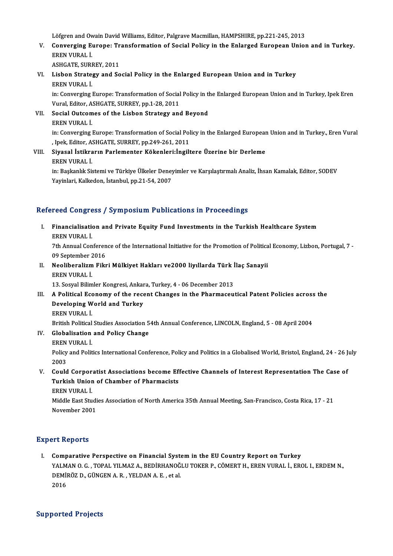Löfgren and Owain David Williams, Editor, Palgrave Macmillan, HAMPSHIRE, pp.221-245, 2013<br>Converging Europe: Transformation of Social Boliau in the Enlarged Europeen Unior

Löfgren and Owain David Williams, Editor, Palgrave Macmillan, HAMPSHIRE, pp.221-245, 2013<br>V. Converging Europe: Transformation of Social Policy in the Enlarged European Union and in Turkey.<br>EREN VURAL İ Löfgren and Ov<br>Converging E<br>EREN VURAL İ.<br>ASUCATE SUPI Converging Europe: Tr<br>EREN VURAL İ.<br>ASHGATE, SURREY, 2011<br>Lisbon Strategy and Se

EREN VURAL İ.<br>ASHGATE, SURREY, 2011<br>VI. Lisbon Strategy and Social Policy in the Enlarged European Union and in Turkey<br>FREN VURAL İ ASHGATE, SURI<br>Lisbon Strate,<br>EREN VURAL İ. Lisbon Strategy and Social Policy in the Enlarged European Union and in Turkey<br>EREN VURAL İ.<br>in: Converging Europe: Transformation of Social Policy in the Enlarged European Union and in Turkey, Ipek Eren<br>Vural Editor, ASHC

EREN VURAL İ.<br>in: Converging Europe: Transformation of Social<br>Vural, Editor, ASHGATE, SURREY, pp.1-28, 2011<br>Social Outsomes of the Lisbon Stratosu and Vural, Editor, ASHGATE, SURREY, pp.1-28, 2011

- VII. Social Outcomes of the Lisbon Strategy and Beyond<br>EREN VURAL İ. Social Outcomes of the Lisbon Strategy and Beyond<br>EREN VURAL İ.<br>in: Converging Europe: Transformation of Social Policy in the Enlarged European Union and in Turkey., Eren Vural<br>JRAK Editor, ASHCATE, SURREY, PR.249, 261, 20 EREN VURAL İ.<br>in: Converging Europe: Transformation of Social Pol<br>, Ipek, Editor, ASHGATE, SURREY, pp.249-261, 2011<br>Siyasal İstikrarın Barlamantar Kökaplari:İnsilt in: Converging Europe: Transformation of Social Policy in the Enlarged European<br>I. J. J. J. Pek, Editor, ASHGATE, SURREY, pp.249-261, 2011<br>VIII. Siyasal İstikrarın Parlementer Kökenleri:İngiltere Üzerine bir Derleme
- , Ipek, Editor, ASHGATE, SURREY, pp.249-261, 2011<br>Siyasal İstikrarın Parlementer Kökenleri:İngiltere Üzerine bir Derleme<br>EREN VURAL İ. Siyasal İstikrarın Parlementer Kökenleri:İngiltere Üzerine bir Derleme<br>EREN VURAL İ.<br>in: Başkanlık Sistemi ve Türkiye Ülkeler Deneyimler ve Karşılaştırmalı Analiz, İhsan Kamalak, Editor, SODEV<br>Yavinlari Kalkeden, İstanbul, EREN VURAL İ.<br>in: Başkanlık Sistemi ve Türkiye Ülkeler Deney<br>Yayinlari, Kalkedon, İstanbul, pp.21-54, 2007

# Yayinlari, Kalkedon, İstanbul, pp.21-54, 2007<br>Refereed Congress / Symposium Publications in Proceedings

efereed Congress / Symposium Publications in Proceedings<br>I. Financialisation and Private Equity Fund Investments in the Turkish Healthcare System<br>EREN VURAL İ Feed congre<br>Financialisation<br>EREN VURAL İ.<br>7th Annual Con Financialisation and Private Equity Fund Investments in the Turkish Healthcare System<br>EREN VURAL İ.<br>7th Annual Conference of the International Initiative for the Promotion of Political Economy, Lizbon, Portugal, 7 -<br>00 Sen

EREN VURAL İ.<br>7th Annual Conferen<br>09 September 2016<br>Neoliberalizm Eily Tth Annual Conference of the International Initiative for the Promotion of Politic:<br>09 September 2016<br>II. Neoliberalizm Fikri Mülkiyet Hakları ve2000 liyıllarda Türk İlaç Sanayii<br>EREN VURAL İ

09 September 2<br><mark>Neoliberalizm</mark><br>EREN VURAL İ.<br>12 Sesvel Bilim Neoliberalizm Fikri Mülkiyet Hakları ve2000 liyıllarda Türk İ<br>EREN VURAL İ.<br>13. Sosyal Bilimler Kongresi, Ankara, Turkey, 4 - 06 December 2013<br>A Political Feonomy of the resent Changes in the Pharmaseu. EREN VURAL İ.<br>13. Sosyal Bilimler Kongresi, Ankara, Turkey, 4 - 06 December 2013<br>III. A Political Economy of the recent Changes in the Pharmaceutical Patent Policies across the

13. Sosyal Bilimler Kongresi, Ankara, Turkey, 4 - 06 December 2013<br>A Political Economy of the recent Changes in the Pharmaceu<br>Developing World and Turkey<br>EREN VURAL İ. Developing World and Turkey Developing World and Turkey<br>EREN VURAL İ.<br>British Political Studies Association 54th Annual Conference, LINCOLN, England, 5 - 08 April 2004<br>Clabalisation and Polisy Change

- IV. Globalisation and Policy Change British Political<br>Globalisation<br>EREN VURAL İ.<br>Polisy and Polit
	-

Globalisation and Policy Change<br>EREN VURAL İ.<br>Policy and Politics International Conference, Policy and Politics in a Globalised World, Bristol, England, 24 - 26 July EREN<br>Policy<br>2003<br>Carld Policy and Politics International Conference, Policy and Politics in a Globalised World, Bristol, England, 24 - 26 J<br>2003<br>V. Could Corporatist Associations become Effective Channels of Interest Representation The Case of<br>T

2003<br>Could Corporatist Associations become Ef!<br>Turkish Union of Chamber of Pharmacists<br>FREN VURAL İ Could Corpor<br>Turkish Unior<br>EREN VURAL İ.<br>Middle Fest Stu Turkish Union of Chamber of Pharmacists<br>EREN VURAL İ.<br>Middle East Studies Association of North America 35th Annual Meeting, San-Francisco, Costa Rica, 17 - 21<br>Navamber 2001

EREN VURAL İ.<br>Middle East Studi<br>November 2001

# November 2001<br>Expert Reports

I. Comparative Perspective on Financial Systemin the EU Country Report on Turkey YAL NOPOTES<br>Comparative Perspective on Financial System in the EU Country Report on Turkey<br>YALMAN O. G. , TOPAL YILMAZ A., BEDİRHANOĞLU TOKER P., CÖMERT H., EREN VURAL İ., EROL I., ERDEM N.,<br>REMİRÖZ B. GÜNCEN A. B., YELDAN Comparative Perspective on Financial Syst<br>YALMAN O.G. , TOPAL YILMAZ A., BEDİRHANOĞ<br>DEMİRÖZ D., GÜNGEN A.R. , YELDAN A.E. , et al.<br>2016 YALM<br>DEMİI<br>2016